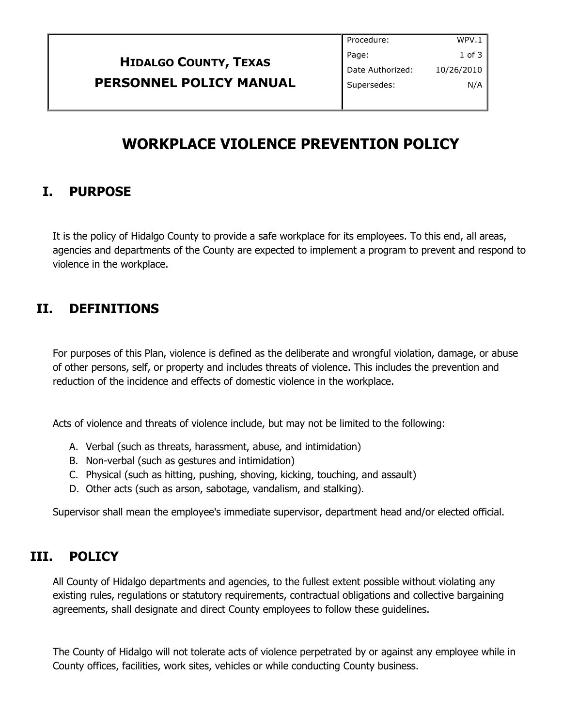|                                | Procedure:       | WPV.1      |
|--------------------------------|------------------|------------|
| <b>HIDALGO COUNTY, TEXAS</b>   | Page:            | 1 of 3     |
|                                | Date Authorized: | 10/26/2010 |
| <b>PERSONNEL POLICY MANUAL</b> | Supersedes:      | N/A        |
|                                |                  |            |

# **WORKPLACE VIOLENCE PREVENTION POLICY**

# **I. PURPOSE**

It is the policy of Hidalgo County to provide a safe workplace for its employees. To this end, all areas, agencies and departments of the County are expected to implement a program to prevent and respond to violence in the workplace.

# **II. DEFINITIONS**

For purposes of this Plan, violence is defined as the deliberate and wrongful violation, damage, or abuse of other persons, self, or property and includes threats of violence. This includes the prevention and reduction of the incidence and effects of domestic violence in the workplace.

Acts of violence and threats of violence include, but may not be limited to the following:

- A. Verbal (such as threats, harassment, abuse, and intimidation)
- B. Non-verbal (such as gestures and intimidation)
- C. Physical (such as hitting, pushing, shoving, kicking, touching, and assault)
- D. Other acts (such as arson, sabotage, vandalism, and stalking).

Supervisor shall mean the employee's immediate supervisor, department head and/or elected official.

#### **III. POLICY**

All County of Hidalgo departments and agencies, to the fullest extent possible without violating any existing rules, regulations or statutory requirements, contractual obligations and collective bargaining agreements, shall designate and direct County employees to follow these guidelines.

The County of Hidalgo will not tolerate acts of violence perpetrated by or against any employee while in County offices, facilities, work sites, vehicles or while conducting County business.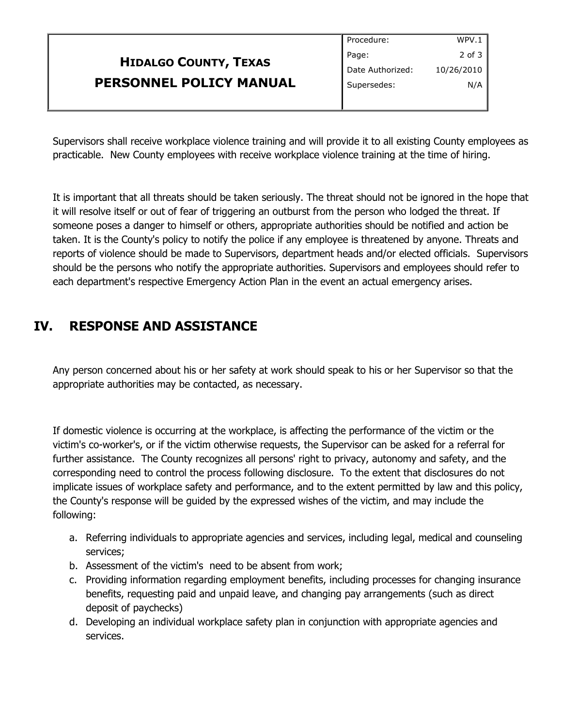|                              | Procedure:       | WPV.1      |
|------------------------------|------------------|------------|
| <b>HIDALGO COUNTY, TEXAS</b> | Page:            | $2$ of $3$ |
|                              | Date Authorized: | 10/26/2010 |
| PERSONNEL POLICY MANUAL      | Supersedes:      | N/A        |
|                              |                  |            |

Supervisors shall receive workplace violence training and will provide it to all existing County employees as practicable. New County employees with receive workplace violence training at the time of hiring.

It is important that all threats should be taken seriously. The threat should not be ignored in the hope that it will resolve itself or out of fear of triggering an outburst from the person who lodged the threat. If someone poses a danger to himself or others, appropriate authorities should be notified and action be taken. It is the County's policy to notify the police if any employee is threatened by anyone. Threats and reports of violence should be made to Supervisors, department heads and/or elected officials. Supervisors should be the persons who notify the appropriate authorities. Supervisors and employees should refer to each department's respective Emergency Action Plan in the event an actual emergency arises.

# **IV. RESPONSE AND ASSISTANCE**

Any person concerned about his or her safety at work should speak to his or her Supervisor so that the appropriate authorities may be contacted, as necessary.

If domestic violence is occurring at the workplace, is affecting the performance of the victim or the victim's co-worker's, or if the victim otherwise requests, the Supervisor can be asked for a referral for further assistance. The County recognizes all persons' right to privacy, autonomy and safety, and the corresponding need to control the process following disclosure. To the extent that disclosures do not implicate issues of workplace safety and performance, and to the extent permitted by law and this policy, the County's response will be guided by the expressed wishes of the victim, and may include the following:

- a. Referring individuals to appropriate agencies and services, including legal, medical and counseling services;
- b. Assessment of the victim's need to be absent from work;
- c. Providing information regarding employment benefits, including processes for changing insurance benefits, requesting paid and unpaid leave, and changing pay arrangements (such as direct deposit of paychecks)
- d. Developing an individual workplace safety plan in conjunction with appropriate agencies and services.